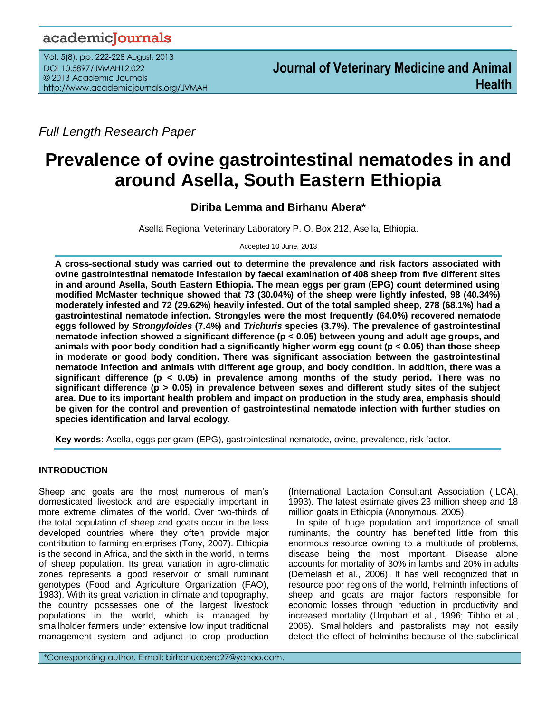## academicJournals

Vol. 5(8), pp. 222-228 August, 2013 DOI 10.5897/JVMAH12.022 © 2013 Academic Journals http://www.academicjournals.org/JVMAH

*Full Length Research Paper*

# **Prevalence of ovine gastrointestinal nematodes in and around Asella, South Eastern Ethiopia**

## **Diriba Lemma and Birhanu Abera\***

Asella Regional Veterinary Laboratory P. O. Box 212, Asella, Ethiopia.

Accepted 10 June, 2013

**A cross-sectional study was carried out to determine the prevalence and risk factors associated with ovine gastrointestinal nematode infestation by faecal examination of 408 sheep from five different sites in and around Asella, South Eastern Ethiopia. The mean eggs per gram (EPG) count determined using modified McMaster technique showed that 73 (30.04%) of the sheep were lightly infested, 98 (40.34%) moderately infested and 72 (29.62%) heavily infested. Out of the total sampled sheep, 278 (68.1%) had a gastrointestinal nematode infection. Strongyles were the most frequently (64.0%) recovered nematode eggs followed by** *Strongyloides* **(7.4%) and** *Trichuris* **species (3.7%). The prevalence of gastrointestinal nematode infection showed a significant difference (p < 0.05) between young and adult age groups, and animals with poor body condition had a significantly higher worm egg count (p < 0.05) than those sheep in moderate or good body condition. There was significant association between the gastrointestinal nematode infection and animals with different age group, and body condition. In addition, there was a significant difference (p < 0.05) in prevalence among months of the study period. There was no significant difference (p > 0.05) in prevalence between sexes and different study sites of the subject area. Due to its important health problem and impact on production in the study area, emphasis should be given for the control and prevention of gastrointestinal nematode infection with further studies on species identification and larval ecology.**

**Key words:** Asella, eggs per gram (EPG), gastrointestinal nematode, ovine, prevalence, risk factor.

## **INTRODUCTION**

Sheep and goats are the most numerous of man's domesticated livestock and are especially important in more extreme climates of the world. Over two-thirds of the total population of sheep and goats occur in the less developed countries where they often provide major contribution to farming enterprises (Tony, 2007). Ethiopia is the second in Africa, and the sixth in the world, in terms of sheep population. Its great variation in agro-climatic zones represents a good reservoir of small ruminant genotypes (Food and Agriculture Organization (FAO), 1983). With its great variation in climate and topography, the country possesses one of the largest livestock populations in the world, which is managed by smallholder farmers under extensive low input traditional management system and adjunct to crop production

(International Lactation Consultant Association (ILCA), 1993). The latest estimate gives 23 million sheep and 18 million goats in Ethiopia (Anonymous, 2005).

In spite of huge population and importance of small ruminants, the country has benefited little from this enormous resource owning to a multitude of problems, disease being the most important. Disease alone accounts for mortality of 30% in lambs and 20% in adults (Demelash et al., 2006). It has well recognized that in resource poor regions of the world, helminth infections of sheep and goats are major factors responsible for economic losses through reduction in productivity and increased mortality (Urquhart et al., 1996; Tibbo et al., 2006). Smallholders and pastoralists may not easily detect the effect of helminths because of the subclinical

\*Corresponding author. E-mail: birhanuabera27@yahoo.com.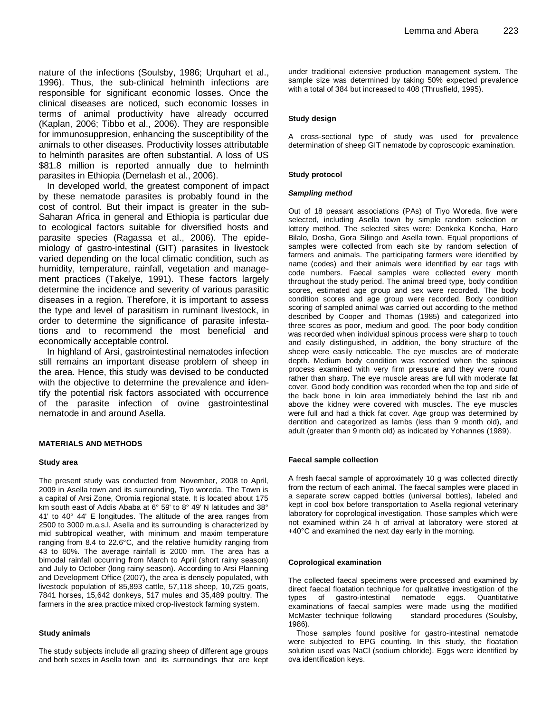nature of the infections (Soulsby, 1986; Urquhart et al., 1996). Thus, the sub-clinical helminth infections are responsible for significant economic losses. Once the clinical diseases are noticed, such economic losses in terms of animal productivity have already occurred (Kaplan, 2006; Tibbo et al., 2006). They are responsible for immunosuppresion, enhancing the susceptibility of the animals to other diseases. Productivity losses attributable to helminth parasites are often substantial. A loss of US \$81.8 million is reported annually due to helminth parasites in Ethiopia (Demelash et al., 2006).

In developed world, the greatest component of impact by these nematode parasites is probably found in the cost of control. But their impact is greater in the sub-Saharan Africa in general and Ethiopia is particular due to ecological factors suitable for diversified hosts and parasite species (Ragassa et al., 2006). The epidemiology of gastro-intestinal (GIT) parasites in livestock varied depending on the local climatic condition, such as humidity, temperature, rainfall, vegetation and management practices (Takelye, 1991). These factors largely determine the incidence and severity of various parasitic diseases in a region. Therefore, it is important to assess the type and level of parasitism in ruminant livestock, in order to determine the significance of parasite infestations and to recommend the most beneficial and economically acceptable control.

In highland of Arsi, gastrointestinal nematodes infection still remains an important disease problem of sheep in the area. Hence, this study was devised to be conducted with the objective to determine the prevalence and **i**dentify the potential risk factors associated with occurrence of the parasite infection of ovine gastrointestinal nematode in and around Asella.

#### **MATERIALS AND METHODS**

#### **Study area**

The present study was conducted from November, 2008 to April, 2009 in Asella town and its surrounding, Tiyo woreda. The Town is a capital of Arsi Zone, Oromia regional state. It is located about 175 km south east of Addis Ababa at 6° 59' to 8° 49' N latitudes and 38° 41' to 40° 44' E longitudes. The altitude of the area ranges from 2500 to 3000 m.a.s.l. Asella and its surrounding is characterized by mid subtropical weather, with minimum and maxim temperature ranging from 8.4 to 22.6°C, and the relative humidity ranging from 43 to 60%. The average rainfall is 2000 mm. The area has a bimodal rainfall occurring from March to April (short rainy season) and July to October (long rainy season). According to Arsi Planning and Development Office (2007), the area is densely populated, with livestock population of 85,893 cattle, 57,118 sheep, 10,725 goats, 7841 horses, 15,642 donkeys, 517 mules and 35,489 poultry. The farmers in the area practice mixed crop-livestock farming system.

#### **Study animals**

The study subjects include all grazing sheep of different age groups and both sexes in Asella town and its surroundings that are kept under traditional extensive production management system. The sample size was determined by taking 50% expected prevalence with a total of 384 but increased to 408 (Thrusfield, 1995).

#### **Study design**

A cross-sectional type of study was used for prevalence determination of sheep GIT nematode by coproscopic examination.

#### **Study protocol**

#### *Sampling method*

Out of 18 peasant associations (PAs) of Tiyo Woreda, five were selected, including Asella town by simple random selection or lottery method. The selected sites were: Denkeka Koncha, Haro Bilalo, Dosha, Gora Silingo and Asella town. Equal proportions of samples were collected from each site by random selection of farmers and animals. The participating farmers were identified by name (codes) and their animals were identified by ear tags with code numbers. Faecal samples were collected every month throughout the study period. The animal breed type, body condition scores, estimated age group and sex were recorded. The body condition scores and age group were recorded. Body condition scoring of sampled animal was carried out according to the method described by Cooper and Thomas (1985) and categorized into three scores as poor, medium and good. The poor body condition was recorded when individual spinous process were sharp to touch and easily distinguished, in addition, the bony structure of the sheep were easily noticeable. The eye muscles are of moderate depth. Medium body condition was recorded when the spinous process examined with very firm pressure and they were round rather than sharp. The eye muscle areas are full with moderate fat cover. Good body condition was recorded when the top and side of the back bone in loin area immediately behind the last rib and above the kidney were covered with muscles. The eye muscles were full and had a thick fat cover. Age group was determined by dentition and categorized as lambs (less than 9 month old), and adult (greater than 9 month old) as indicated by Yohannes (1989).

#### **Faecal sample collection**

A fresh faecal sample of approximately 10 g was collected directly from the rectum of each animal. The faecal samples were placed in a separate screw capped bottles (universal bottles), labeled and kept in cool box before transportation to Asella regional veterinary laboratory for coprological investigation. Those samples which were not examined within 24 h of arrival at laboratory were stored at +40°C and examined the next day early in the morning.

#### **Coprological examination**

The collected faecal specimens were processed and examined by direct faecal floatation technique for qualitative investigation of the types of gastro-intestinal nematode eggs. Quantitative examinations of faecal samples were made using the modified McMaster technique following standard procedures (Soulsby, 1986).

Those samples found positive for gastro-intestinal nematode were subjected to EPG counting. In this study, the floatation solution used was NaCl (sodium chloride). Eggs were identified by ova identification keys.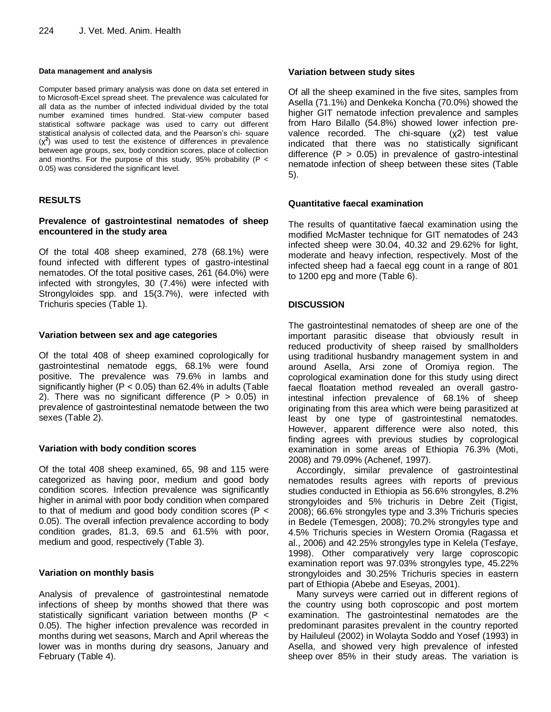#### **Data management and analysis**

Computer based primary analysis was done on data set entered in to Microsoft-Excel spread sheet. The prevalence was calculated for all data as the number of infected individual divided by the total number examined times hundred. Stat-view computer based statistical software package was used to carry out different statistical analysis of collected data, and the Pearson's chi- square (χ**<sup>2</sup>** ) was used to test the existence of differences in prevalence between age groups, sex, body condition scores, place of collection and months. For the purpose of this study, 95% probability ( $P <$ 0.05) was considered the significant level.

## **RESULTS**

#### **Prevalence of gastrointestinal nematodes of sheep encountered in the study area**

Of the total 408 sheep examined, 278 (68.1%) were found infected with different types of gastro-intestinal nematodes. Of the total positive cases, 261 (64.0%) were infected with strongyles, 30 (7.4%) were infected with Strongyloides spp. and 15(3.7%), were infected with Trichuris species (Table 1).

## **Variation between sex and age categories**

Of the total 408 of sheep examined coprologically for gastrointestinal nematode eggs, 68.1% were found positive. The prevalence was 79.6% in lambs and significantly higher ( $P < 0.05$ ) than 62.4% in adults (Table 2). There was no significant difference  $(P > 0.05)$  in prevalence of gastrointestinal nematode between the two sexes (Table 2).

## **Variation with body condition scores**

Of the total 408 sheep examined, 65, 98 and 115 were categorized as having poor, medium and good body condition scores. Infection prevalence was significantly higher in animal with poor body condition when compared to that of medium and good body condition scores (P < 0.05). The overall infection prevalence according to body condition grades, 81.3, 69.5 and 61.5% with poor, medium and good, respectively (Table 3).

## **Variation on monthly basis**

Analysis of prevalence of gastrointestinal nematode infections of sheep by months showed that there was statistically significant variation between months (P < 0.05). The higher infection prevalence was recorded in months during wet seasons, March and April whereas the lower was in months during dry seasons, January and February (Table 4).

## **Variation between study sites**

Of all the sheep examined in the five sites, samples from Asella (71.1%) and Denkeka Koncha (70.0%) showed the higher GIT nematode infection prevalence and samples from Haro Bilallo (54.8%) showed lower infection prevalence recorded. The chi-square (χ2) test value indicated that there was no statistically significant difference  $(P > 0.05)$  in prevalence of gastro-intestinal nematode infection of sheep between these sites (Table 5).

## **Quantitative faecal examination**

The results of quantitative faecal examination using the modified McMaster technique for GIT nematodes of 243 infected sheep were 30.04, 40.32 and 29.62% for light, moderate and heavy infection, respectively. Most of the infected sheep had a faecal egg count in a range of 801 to 1200 epg and more (Table 6).

## **DISCUSSION**

The gastrointestinal nematodes of sheep are one of the important parasitic disease that obviously result in reduced productivity of sheep raised by smallholders using traditional husbandry management system in and around Asella, Arsi zone of Oromiya region. The coprological examination done for this study using direct faecal floatation method revealed an overall gastrointestinal infection prevalence of 68.1% of sheep originating from this area which were being parasitized at least by one type of gastrointestinal nematodes. However, apparent difference were also noted, this finding agrees with previous studies by coprological examination in some areas of Ethiopia 76.3% (Moti, 2008) and 79.09% (Achenef, 1997).

Accordingly, similar prevalence of gastrointestinal nematodes results agrees with reports of previous studies conducted in Ethiopia as 56.6% strongyles, 8.2% strongyloides and 5% trichuris in Debre Zeit (Tigist, 2008); 66.6% strongyles type and 3.3% Trichuris species in Bedele (Temesgen, 2008); 70.2% strongyles type and 4.5% Trichuris species in Western Oromia (Ragassa et al., 2006) and 42.25% strongyles type in Kelela (Tesfaye, 1998). Other comparatively very large coproscopic examination report was 97.03% strongyles type, 45.22% strongyloides and 30.25% Trichuris species in eastern part of Ethiopia (Abebe and Eseyas, 2001).

Many surveys were carried out in different regions of the country using both coproscopic and post mortem examination. The gastrointestinal nematodes are the predominant parasites prevalent in the country reported by Hailuleul (2002) in Wolayta Soddo and Yosef (1993) in Asella, and showed very high prevalence of infested sheep over 85% in their study areas. The variation is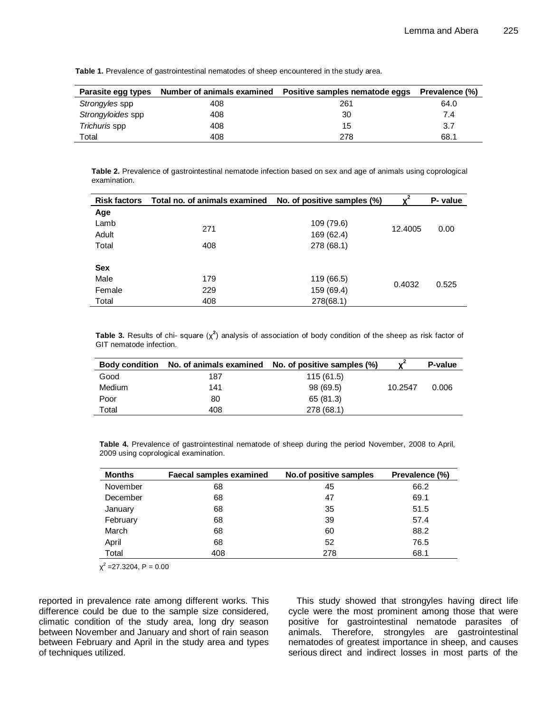| Parasite egg types | Number of animals examined | Positive samples nematode eggs | Prevalence (%) |
|--------------------|----------------------------|--------------------------------|----------------|
| Strongyles spp     | 408                        | 261                            | 64.0           |
| Strongyloides spp  | 408                        | 30                             | 7.4            |
| Trichuris spp      | 408                        | 15                             | 3.7            |
| Total              | 408                        | 278                            | 68.1           |

**Table 1.** Prevalence of gastrointestinal nematodes of sheep encountered in the study area.

**Table 2.** Prevalence of gastrointestinal nematode infection based on sex and age of animals using coprological examination.

| <b>Risk factors</b> | Total no. of animals examined No. of positive samples (%) |            | $x^2$   | P- value |
|---------------------|-----------------------------------------------------------|------------|---------|----------|
| Age                 |                                                           |            |         |          |
| Lamb                | 271                                                       | 109 (79.6) | 12.4005 | 0.00     |
| Adult               |                                                           | 169 (62.4) |         |          |
| Total               | 408                                                       | 278 (68.1) |         |          |
|                     |                                                           |            |         |          |
| <b>Sex</b>          |                                                           |            |         |          |
| Male                | 179                                                       | 119 (66.5) | 0.4032  | 0.525    |
| Female              | 229                                                       | 159 (69.4) |         |          |
| Total               | 408                                                       | 278(68.1)  |         |          |

**Table 3.** Results of chi- square (χ**<sup>2</sup>** ) analysis of association of body condition of the sheep as risk factor of GIT nematode infection.

| <b>Body condition</b> |     | No. of animals examined No. of positive samples (%) | $v^2$   | P-value |
|-----------------------|-----|-----------------------------------------------------|---------|---------|
| Good                  | 187 | 115(61.5)                                           |         |         |
| Medium                | 141 | 98 (69.5)                                           | 10.2547 | 0.006   |
| Poor                  | 80  | 65 (81.3)                                           |         |         |
| Total                 | 408 | 278 (68.1)                                          |         |         |

**Table 4.** Prevalence of gastrointestinal nematode of sheep during the period November, 2008 to April, 2009 using coprological examination.

| <b>Months</b> | <b>Faecal samples examined</b> | No.of positive samples | Prevalence (%) |
|---------------|--------------------------------|------------------------|----------------|
| November      | 68                             | 45                     | 66.2           |
| December      | 68                             | 47                     | 69.1           |
| January       | 68                             | 35                     | 51.5           |
| February      | 68                             | 39                     | 57.4           |
| March         | 68                             | 60                     | 88.2           |
| April         | 68                             | 52                     | 76.5           |
| Total         | 408                            | 278                    | 68.1           |

 $\chi^2$  =27.3204, P = 0.00

reported in prevalence rate among different works. This difference could be due to the sample size considered, climatic condition of the study area, long dry season between November and January and short of rain season between February and April in the study area and types of techniques utilized.

This study showed that strongyles having direct life cycle were the most prominent among those that were positive for gastrointestinal nematode parasites of animals. Therefore, strongyles are gastrointestinal nematodes of greatest importance in sheep, and causes serious direct and indirect losses in most parts of the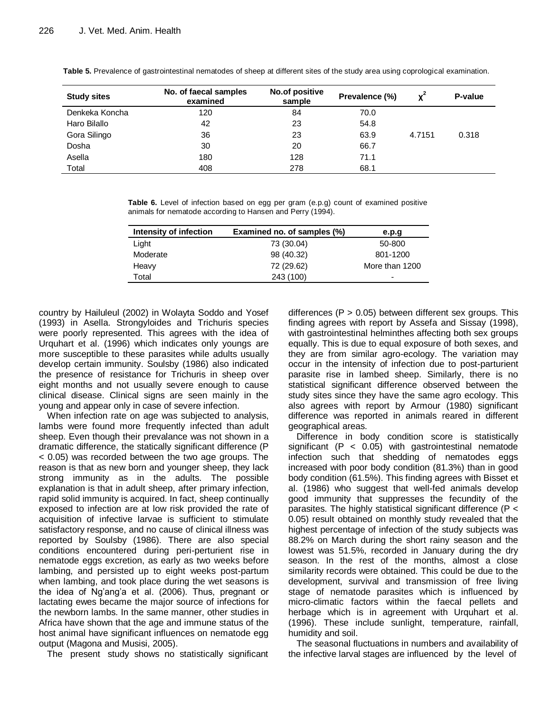| <b>Study sites</b> | No. of faecal samples<br>examined | No.of positive<br>sample | Prevalence (%) |        | P-value |
|--------------------|-----------------------------------|--------------------------|----------------|--------|---------|
| Denkeka Koncha     | 120                               | 84                       | 70.0           |        |         |
| Haro Bilallo       | 42                                | 23                       | 54.8           |        |         |
| Gora Silingo       | 36                                | 23                       | 63.9           | 4.7151 | 0.318   |
| Dosha              | 30                                | 20                       | 66.7           |        |         |
| Asella             | 180                               | 128                      | 71.1           |        |         |
| Total              | 408                               | 278                      | 68.1           |        |         |

**Table 5.** Prevalence of gastrointestinal nematodes of sheep at different sites of the study area using coprological examination.

**Table 6.** Level of infection based on egg per gram (e.p.g) count of examined positive animals for nematode according to Hansen and Perry (1994).

| Intensity of infection | Examined no. of samples (%) | e.p.g          |
|------------------------|-----------------------------|----------------|
| Light                  | 73 (30.04)                  | 50-800         |
| Moderate               | 98 (40.32)                  | 801-1200       |
| Heavy                  | 72 (29.62)                  | More than 1200 |
| Total                  | 243 (100)                   | -              |
|                        |                             |                |

country by Hailuleul (2002) in Wolayta Soddo and Yosef (1993) in Asella. Strongyloides and Trichuris species were poorly represented. This agrees with the idea of Urquhart et al. (1996) which indicates only youngs are more susceptible to these parasites while adults usually develop certain immunity. Soulsby (1986) also indicated the presence of resistance for Trichuris in sheep over eight months and not usually severe enough to cause clinical disease. Clinical signs are seen mainly in the young and appear only in case of severe infection.

When infection rate on age was subjected to analysis, lambs were found more frequently infected than adult sheep. Even though their prevalance was not shown in a dramatic difference, the statically significant difference (P < 0.05) was recorded between the two age groups. The reason is that as new born and younger sheep, they lack strong immunity as in the adults. The possible explanation is that in adult sheep, after primary infection, rapid solid immunity is acquired. In fact, sheep continually exposed to infection are at low risk provided the rate of acquisition of infective larvae is sufficient to stimulate satisfactory response, and no cause of clinical illness was reported by Soulsby (1986). There are also special conditions encountered during peri-perturient rise in nematode eggs excretion, as early as two weeks before lambing, and persisted up to eight weeks post-partum when lambing, and took place during the wet seasons is the idea of Ng'ang'a et al. (2006). Thus, pregnant or lactating ewes became the major source of infections for the newborn lambs. In the same manner, other studies in Africa have shown that the age and immune status of the host animal have significant influences on nematode egg output (Magona and Musisi, 2005).

The present study shows no statistically significant

differences ( $P > 0.05$ ) between different sex groups. This finding agrees with report by Assefa and Sissay (1998), with gastrointestinal helminthes affecting both sex groups equally. This is due to equal exposure of both sexes, and they are from similar agro-ecology. The variation may occur in the intensity of infection due to post-parturient parasite rise in lambed sheep. Similarly, there is no statistical significant difference observed between the study sites since they have the same agro ecology. This also agrees with report by Armour (1980) significant difference was reported in animals reared in different geographical areas.

Difference in body condition score is statistically significant ( $P < 0.05$ ) with gastrointestinal nematode infection such that shedding of nematodes eggs increased with poor body condition (81.3%) than in good body condition (61.5%). This finding agrees with Bisset et al. (1986) who suggest that well-fed animals develop good immunity that suppresses the fecundity of the parasites. The highly statistical significant difference (P < 0.05) result obtained on monthly study revealed that the highest percentage of infection of the study subjects was 88.2% on March during the short rainy season and the lowest was 51.5%, recorded in January during the dry season. In the rest of the months, almost a close similarity records were obtained. This could be due to the development, survival and transmission of free living stage of nematode parasites which is influenced by micro-climatic factors within the faecal pellets and herbage which is in agreement with Urquhart et al. (1996). These include sunlight, temperature, rainfall, humidity and soil.

The seasonal fluctuations in numbers and availability of the infective larval stages are influenced by the level of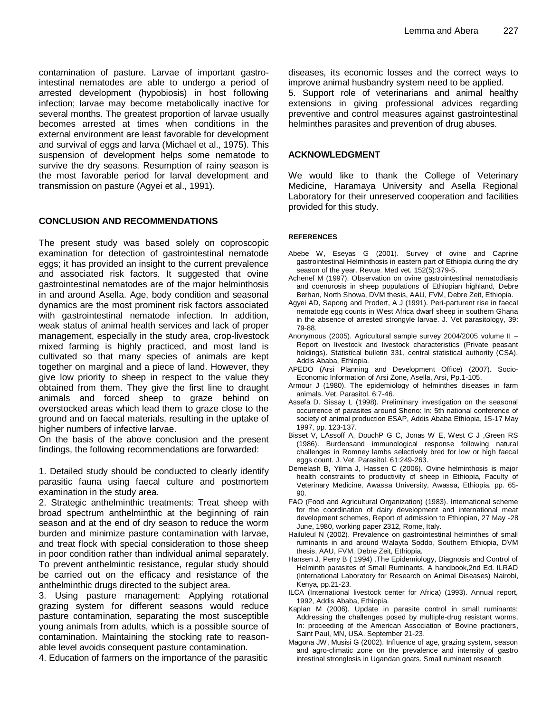contamination of pasture. Larvae of important gastrointestinal nematodes are able to undergo a period of arrested development (hypobiosis) in host following infection; larvae may become metabolically inactive for several months. The greatest proportion of larvae usually becomes arrested at times when conditions in the external environment are least favorable for development and survival of eggs and larva (Michael et al., 1975). This suspension of development helps some nematode to survive the dry seasons. Resumption of rainy season is the most favorable period for larval development and transmission on pasture (Agyei et al., 1991).

## **CONCLUSION AND RECOMMENDATIONS**

The present study was based solely on coproscopic examination for detection of gastrointestinal nematode eggs; it has provided an insight to the current prevalence and associated risk factors. It suggested that ovine gastrointestinal nematodes are of the major helminthosis in and around Asella. Age, body condition and seasonal dynamics are the most prominent risk factors associated with gastrointestinal nematode infection. In addition, weak status of animal health services and lack of proper management, especially in the study area, crop-livestock mixed farming is highly practiced, and most land is cultivated so that many species of animals are kept together on marginal and a piece of land. However, they give low priority to sheep in respect to the value they obtained from them. They give the first line to draught animals and forced sheep to graze behind on overstocked areas which lead them to graze close to the ground and on faecal materials, resulting in the uptake of higher numbers of infective larvae.

On the basis of the above conclusion and the present findings, the following recommendations are forwarded:

1. Detailed study should be conducted to clearly identify parasitic fauna using faecal culture and postmortem examination in the study area.

2. Strategic anthelminthic treatments: Treat sheep with broad spectrum anthelminthic at the beginning of rain season and at the end of dry season to reduce the worm burden and minimize pasture contamination with larvae, and treat flock with special consideration to those sheep in poor condition rather than individual animal separately. To prevent anthelmintic resistance, regular study should be carried out on the efficacy and resistance of the anthelminthic drugs directed to the subject area.

3. Using pasture management: Applying rotational grazing system for different seasons would reduce pasture contamination, separating the most susceptible young animals from adults, which is a possible source of contamination. Maintaining the stocking rate to reasonable level avoids consequent pasture contamination.

4. Education of farmers on the importance of the parasitic

diseases, its economic losses and the correct ways to improve animal husbandry system need to be applied.

5. Support role of veterinarians and animal healthy extensions in giving professional advices regarding preventive and control measures against gastrointestinal helminthes parasites and prevention of drug abuses.

#### **ACKNOWLEDGMENT**

We would like to thank the College of Veterinary Medicine, Haramaya University and Asella Regional Laboratory for their unreserved cooperation and facilities provided for this study.

#### **REFERENCES**

- Abebe W, Eseyas G (2001). Survey of ovine and Caprine gastrointestinal Helminthosis in eastern part of Ethiopia during the dry season of the year. Revue. Med vet. 152(5):379-5.
- Achenef M (1997). Observation on ovine gastrointestinal nematodiasis and coenurosis in sheep populations of Ethiopian highland, Debre Berhan, North Showa, DVM thesis, AAU, FVM, Debre Zeit, Ethiopia.
- Agyei AD, Sapong and Prodert, A J (1991). Peri-parturent rise in faecal nematode egg counts in West Africa dwarf sheep in southern Ghana in the absence of arrested strongyle larvae. J. Vet parasitology, 39: 79-88.
- Anonymous (2005). Agricultural sample survey 2004/2005 volume II Report on livestock and livestock characteristics (Private peasant holdings). Statistical bulletin 331, central statistical authority (CSA), Addis Ababa, Ethiopia.
- APEDO (Arsi Planning and Development Office) (2007). Socio-Economic Information of Arsi Zone, Asella, Arsi, Pp.1-105.
- Armour J (1980). The epidemiology of helminthes diseases in farm animals. Vet. Parasitol. 6:7-46.
- Assefa D, Sissay L (1998). Preliminary investigation on the seasonal occurrence of parasites around Sheno: In: 5th national conference of society of animal production ESAP, Addis Ababa Ethiopia, 15-17 May 1997, pp. 123-137.
- Bisset V, LAssoff A, DouchP G C, Jonas W E, West C J ,Green RS (1986). Burdensand immunological response following natural challenges in Romney lambs selectively bred for low or high faecal eggs count. J. Vet. Parasitol. 61:249-263.
- Demelash B, Yilma J, Hassen C (2006). Ovine helminthosis is major health constraints to productivity of sheep in Ethiopia, Faculty of Veterinary Medicine, Awassa University, Awassa, Ethiopia. pp. 65- 90.
- FAO (Food and Agricultural Organization) (1983). International scheme for the coordination of dairy development and international meat development schemes, Report of admission to Ethiopian, 27 May -28 June, 1980, working paper 2312, Rome, Italy.
- Hailuleul N (2002). Prevalence on gastrointestinal helminthes of small ruminants in and around Walayta Soddo, Southern Ethiopia, DVM thesis, AAU, FVM, Debre Zeit, Ethiopia.
- Hansen J, Perry B ( 1994) .The Epidemiology, Diagnosis and Control of Helminth parasites of Small Ruminants, A handbook,2nd Ed. ILRAD (International Laboratory for Research on Animal Diseases) Nairobi, Kenya, pp.21-23.
- ILCA (International livestock center for Africa) (1993). Annual report, 1992, Addis Ababa, Ethiopia.
- Kaplan M (2006). Update in parasite control in small ruminants: Addressing the challenges posed by multiple-drug resistant worms. In: proceeding of the American Association of Bovine practioners, Saint Paul, MN, USA. September 21-23.
- Magona JW, Musisi G (2002). Influence of age, grazing system, season and agro-climatic zone on the prevalence and intensity of gastro intestinal stronglosis in Ugandan goats. Small ruminant research